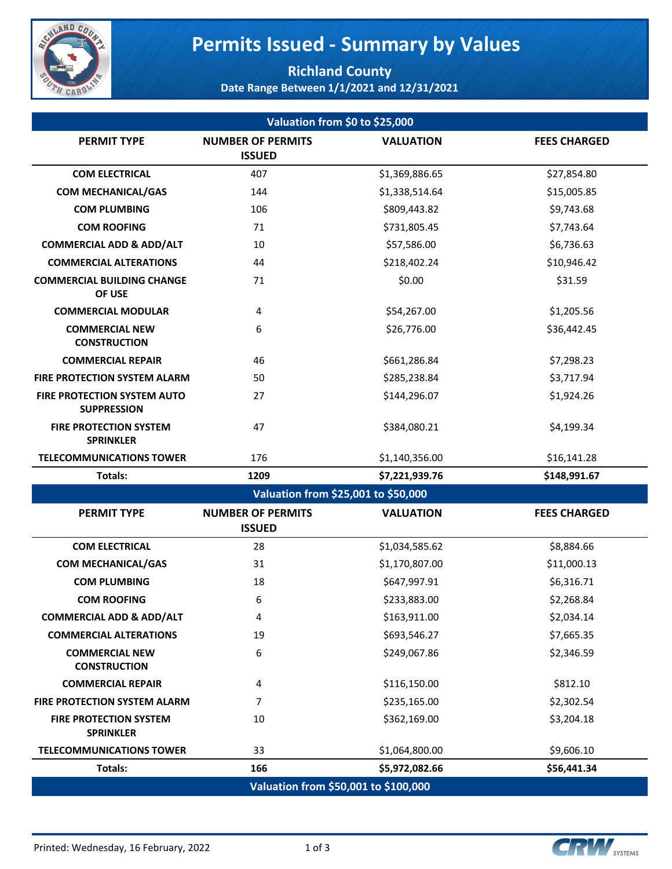

## **Permits Issued - Summary by Values**

## **Richland County Date Range Between 1/1/2021 and 12/31/2021**

| Valuation from \$0 to \$25,000                           |                          |                  |                     |  |  |  |
|----------------------------------------------------------|--------------------------|------------------|---------------------|--|--|--|
| <b>PERMIT TYPE</b>                                       | <b>NUMBER OF PERMITS</b> | <b>VALUATION</b> | <b>FEES CHARGED</b> |  |  |  |
|                                                          | <b>ISSUED</b>            |                  |                     |  |  |  |
| <b>COM ELECTRICAL</b>                                    | 407                      | \$1,369,886.65   | \$27,854.80         |  |  |  |
| <b>COM MECHANICAL/GAS</b>                                | 144                      | \$1,338,514.64   | \$15,005.85         |  |  |  |
| <b>COM PLUMBING</b>                                      | 106                      | \$809,443.82     | \$9,743.68          |  |  |  |
| <b>COM ROOFING</b>                                       | 71                       | \$731,805.45     | \$7,743.64          |  |  |  |
| <b>COMMERCIAL ADD &amp; ADD/ALT</b>                      | 10                       | \$57,586.00      | \$6,736.63          |  |  |  |
| <b>COMMERCIAL ALTERATIONS</b>                            | 44                       | \$218,402.24     | \$10,946.42         |  |  |  |
| <b>COMMERCIAL BUILDING CHANGE</b><br>OF USE              | 71                       | \$0.00           | \$31.59             |  |  |  |
| <b>COMMERCIAL MODULAR</b>                                | 4                        | \$54,267.00      | \$1,205.56          |  |  |  |
| <b>COMMERCIAL NEW</b><br><b>CONSTRUCTION</b>             | 6                        | \$26,776.00      | \$36,442.45         |  |  |  |
| <b>COMMERCIAL REPAIR</b>                                 | 46                       | \$661,286.84     | \$7,298.23          |  |  |  |
| <b>FIRE PROTECTION SYSTEM ALARM</b>                      | 50                       | \$285,238.84     | \$3,717.94          |  |  |  |
| <b>FIRE PROTECTION SYSTEM AUTO</b><br><b>SUPPRESSION</b> | 27                       | \$144,296.07     | \$1,924.26          |  |  |  |
| <b>FIRE PROTECTION SYSTEM</b><br><b>SPRINKLER</b>        | 47                       | \$384,080.21     | \$4,199.34          |  |  |  |
| <b>TELECOMMUNICATIONS TOWER</b>                          | 176                      | \$1,140,356.00   | \$16,141.28         |  |  |  |
| <b>Totals:</b>                                           | 1209                     | \$7,221,939.76   | \$148,991.67        |  |  |  |
| Valuation from \$25,001 to \$50,000                      |                          |                  |                     |  |  |  |
| <b>PERMIT TYPE</b>                                       | <b>NUMBER OF PERMITS</b> | <b>VALUATION</b> | <b>FEES CHARGED</b> |  |  |  |
|                                                          | <b>ISSUED</b>            |                  |                     |  |  |  |
| <b>COM ELECTRICAL</b>                                    | 28                       | \$1,034,585.62   | \$8,884.66          |  |  |  |
| <b>COM MECHANICAL/GAS</b>                                | 31                       | \$1,170,807.00   | \$11,000.13         |  |  |  |
| <b>COM PLUMBING</b>                                      | 18                       | \$647,997.91     | \$6,316.71          |  |  |  |
| <b>COM ROOFING</b>                                       | 6                        | \$233,883.00     | \$2,268.84          |  |  |  |
| <b>COMMERCIAL ADD &amp; ADD/ALT</b>                      | 4                        | \$163,911.00     | \$2,034.14          |  |  |  |
| <b>COMMERCIAL ALTERATIONS</b>                            | 19                       | \$693,546.27     | \$7,665.35          |  |  |  |
| <b>COMMERCIAL NEW</b><br><b>CONSTRUCTION</b>             | 6                        | \$249,067.86     | \$2,346.59          |  |  |  |
| <b>COMMERCIAL REPAIR</b>                                 | 4                        | \$116,150.00     | \$812.10            |  |  |  |
| <b>FIRE PROTECTION SYSTEM ALARM</b>                      | 7                        | \$235,165.00     | \$2,302.54          |  |  |  |
| <b>FIRE PROTECTION SYSTEM</b><br><b>SPRINKLER</b>        | 10                       | \$362,169.00     | \$3,204.18          |  |  |  |
|                                                          |                          |                  |                     |  |  |  |
| <b>TELECOMMUNICATIONS TOWER</b>                          | 33                       | \$1,064,800.00   | \$9,606.10          |  |  |  |
| Totals:                                                  | 166                      | \$5,972,082.66   | \$56,441.34         |  |  |  |

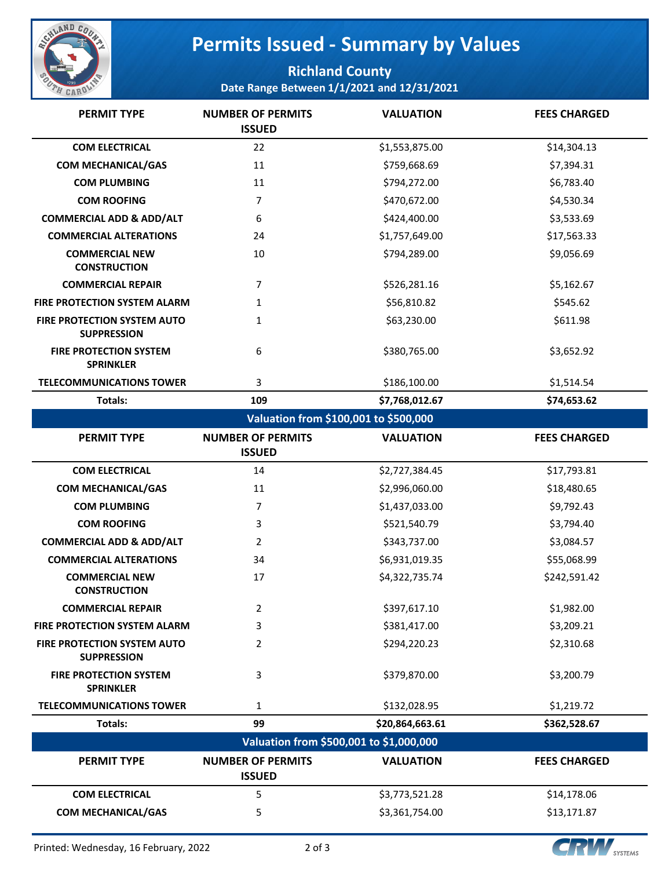

## **Permits Issued - Summary by Values**

## **Richland County Date Range Between 1/1/2021 and 12/31/2021**

| <b>PERMIT TYPE</b>                                | <b>NUMBER OF PERMITS</b><br><b>ISSUED</b> | <b>VALUATION</b> | <b>FEES CHARGED</b> |  |  |  |
|---------------------------------------------------|-------------------------------------------|------------------|---------------------|--|--|--|
| <b>COM ELECTRICAL</b>                             | 22                                        | \$1,553,875.00   | \$14,304.13         |  |  |  |
| <b>COM MECHANICAL/GAS</b>                         | 11                                        | \$759,668.69     | \$7,394.31          |  |  |  |
| <b>COM PLUMBING</b>                               | 11                                        | \$794,272.00     | \$6,783.40          |  |  |  |
| <b>COM ROOFING</b>                                | $\overline{7}$                            | \$470,672.00     | \$4,530.34          |  |  |  |
| <b>COMMERCIAL ADD &amp; ADD/ALT</b>               | 6                                         | \$424,400.00     | \$3,533.69          |  |  |  |
| <b>COMMERCIAL ALTERATIONS</b>                     | 24                                        | \$1,757,649.00   | \$17,563.33         |  |  |  |
| <b>COMMERCIAL NEW</b><br><b>CONSTRUCTION</b>      | 10                                        | \$794,289.00     | \$9,056.69          |  |  |  |
| <b>COMMERCIAL REPAIR</b>                          | $\overline{7}$                            | \$526,281.16     | \$5,162.67          |  |  |  |
| <b>FIRE PROTECTION SYSTEM ALARM</b>               | 1                                         | \$56,810.82      | \$545.62            |  |  |  |
| FIRE PROTECTION SYSTEM AUTO<br><b>SUPPRESSION</b> | 1                                         | \$63,230.00      | \$611.98            |  |  |  |
| <b>FIRE PROTECTION SYSTEM</b><br><b>SPRINKLER</b> | 6                                         | \$380,765.00     | \$3,652.92          |  |  |  |
| <b>TELECOMMUNICATIONS TOWER</b>                   | 3                                         | \$186,100.00     | \$1,514.54          |  |  |  |
| Totals:                                           | 109                                       | \$7,768,012.67   | \$74,653.62         |  |  |  |
|                                                   | Valuation from \$100,001 to \$500,000     |                  |                     |  |  |  |
| <b>PERMIT TYPE</b>                                | <b>NUMBER OF PERMITS</b><br><b>ISSUED</b> | <b>VALUATION</b> | <b>FEES CHARGED</b> |  |  |  |
| <b>COM ELECTRICAL</b>                             | 14                                        | \$2,727,384.45   | \$17,793.81         |  |  |  |
| <b>COM MECHANICAL/GAS</b>                         | 11                                        | \$2,996,060.00   | \$18,480.65         |  |  |  |
|                                                   |                                           |                  |                     |  |  |  |
| <b>COM PLUMBING</b>                               | $\overline{7}$                            | \$1,437,033.00   | \$9,792.43          |  |  |  |
| <b>COM ROOFING</b>                                | 3                                         | \$521,540.79     | \$3,794.40          |  |  |  |
| <b>COMMERCIAL ADD &amp; ADD/ALT</b>               | $\overline{2}$                            | \$343,737.00     | \$3,084.57          |  |  |  |
| <b>COMMERCIAL ALTERATIONS</b>                     | 34                                        | \$6,931,019.35   | \$55,068.99         |  |  |  |
| <b>COMMERCIAL NEW</b><br><b>CONSTRUCTION</b>      | 17                                        | \$4,322,735.74   | \$242,591.42        |  |  |  |
| <b>COMMERCIAL REPAIR</b>                          | 2                                         | \$397,617.10     | \$1,982.00          |  |  |  |
| <b>FIRE PROTECTION SYSTEM ALARM</b>               | 3                                         | \$381,417.00     | \$3,209.21          |  |  |  |
| FIRE PROTECTION SYSTEM AUTO<br><b>SUPPRESSION</b> | $\overline{2}$                            | \$294,220.23     | \$2,310.68          |  |  |  |
| <b>FIRE PROTECTION SYSTEM</b><br><b>SPRINKLER</b> | 3                                         | \$379,870.00     | \$3,200.79          |  |  |  |
| <b>TELECOMMUNICATIONS TOWER</b>                   | 1                                         | \$132,028.95     | \$1,219.72          |  |  |  |
| Totals:                                           | 99                                        | \$20,864,663.61  | \$362,528.67        |  |  |  |
|                                                   | Valuation from \$500,001 to \$1,000,000   |                  |                     |  |  |  |
| <b>PERMIT TYPE</b>                                | <b>NUMBER OF PERMITS</b><br><b>ISSUED</b> | <b>VALUATION</b> | <b>FEES CHARGED</b> |  |  |  |
| <b>COM ELECTRICAL</b>                             | 5                                         | \$3,773,521.28   | \$14,178.06         |  |  |  |